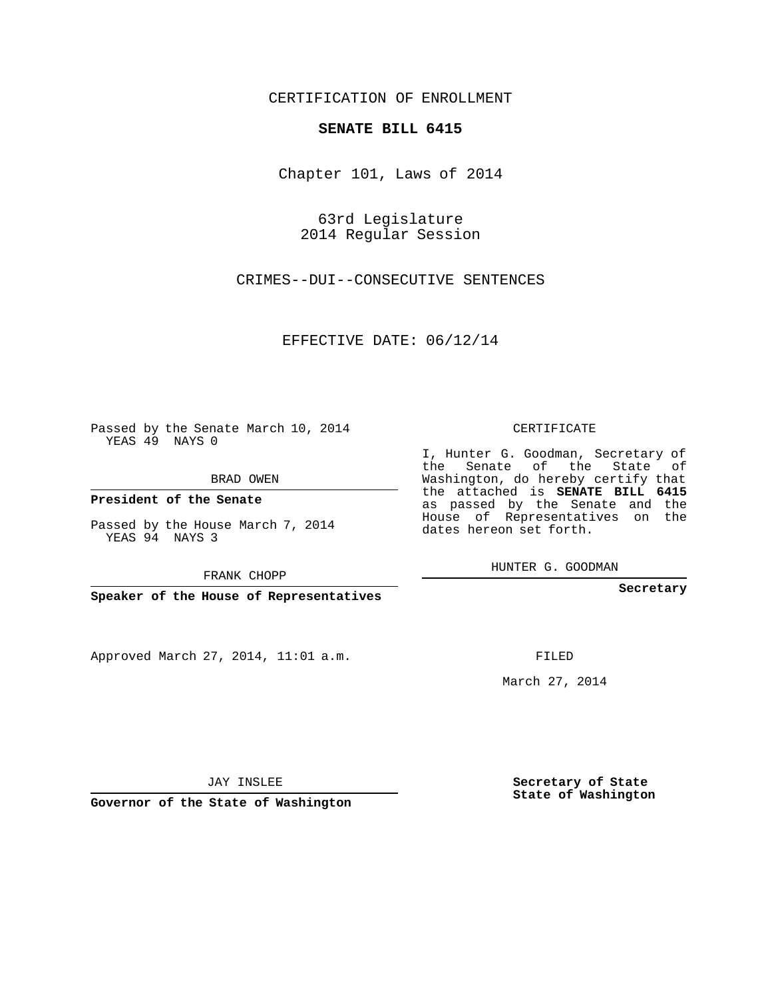### CERTIFICATION OF ENROLLMENT

### **SENATE BILL 6415**

Chapter 101, Laws of 2014

63rd Legislature 2014 Regular Session

CRIMES--DUI--CONSECUTIVE SENTENCES

EFFECTIVE DATE: 06/12/14

**Contract Contract** 

Passed by the Senate March 10, 2014 YEAS 49 NAYS 0

BRAD OWEN

**President of the Senate**

Passed by the House March 7, 2014 YEAS 94 NAYS 3

FRANK CHOPP

**Speaker of the House of Representatives**

Approved March 27, 2014, 11:01 a.m.

CERTIFICATE

I, Hunter G. Goodman, Secretary of the Senate of the State of Washington, do hereby certify that the attached is **SENATE BILL 6415** as passed by the Senate and the House of Representatives on the dates hereon set forth.

HUNTER G. GOODMAN

**Secretary**

FILED

March 27, 2014

**Secretary of State State of Washington**

JAY INSLEE

**Governor of the State of Washington**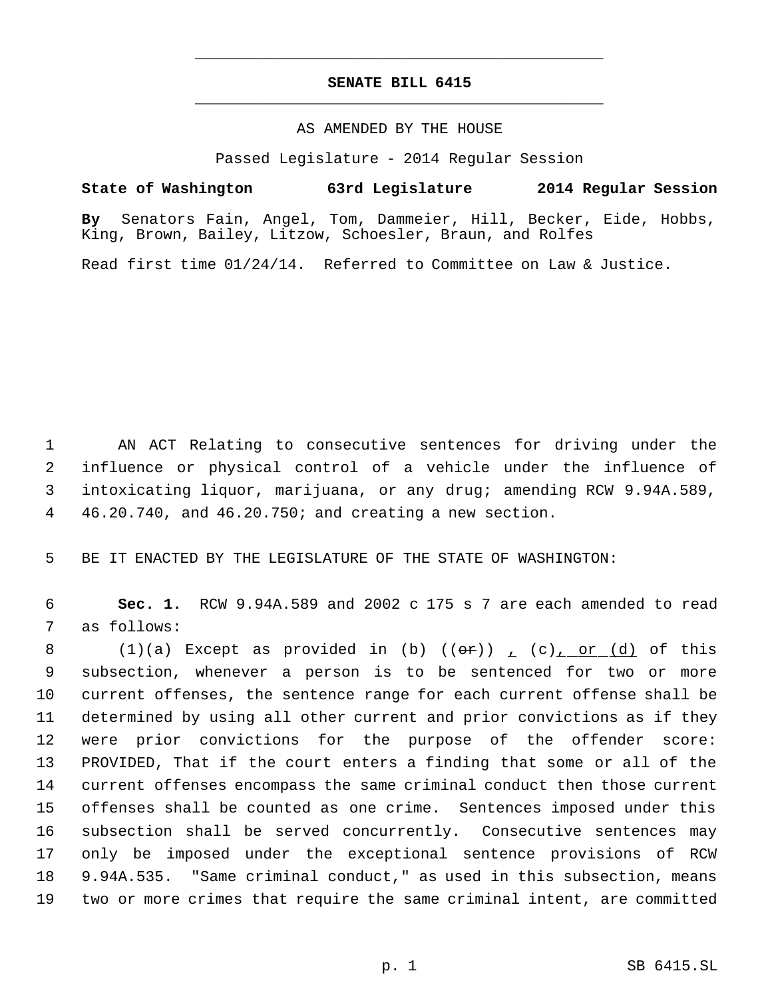## **SENATE BILL 6415** \_\_\_\_\_\_\_\_\_\_\_\_\_\_\_\_\_\_\_\_\_\_\_\_\_\_\_\_\_\_\_\_\_\_\_\_\_\_\_\_\_\_\_\_\_

\_\_\_\_\_\_\_\_\_\_\_\_\_\_\_\_\_\_\_\_\_\_\_\_\_\_\_\_\_\_\_\_\_\_\_\_\_\_\_\_\_\_\_\_\_

### AS AMENDED BY THE HOUSE

Passed Legislature - 2014 Regular Session

**State of Washington 63rd Legislature 2014 Regular Session**

**By** Senators Fain, Angel, Tom, Dammeier, Hill, Becker, Eide, Hobbs, King, Brown, Bailey, Litzow, Schoesler, Braun, and Rolfes

Read first time 01/24/14. Referred to Committee on Law & Justice.

 AN ACT Relating to consecutive sentences for driving under the influence or physical control of a vehicle under the influence of intoxicating liquor, marijuana, or any drug; amending RCW 9.94A.589, 46.20.740, and 46.20.750; and creating a new section.

BE IT ENACTED BY THE LEGISLATURE OF THE STATE OF WASHINGTON:

 **Sec. 1.** RCW 9.94A.589 and 2002 c 175 s 7 are each amended to read as follows:

8 (1)(a) Except as provided in (b)  $((\theta \cdot \hat{r}))$  ,  $(c)$  or  $(d)$  of this subsection, whenever a person is to be sentenced for two or more current offenses, the sentence range for each current offense shall be determined by using all other current and prior convictions as if they were prior convictions for the purpose of the offender score: PROVIDED, That if the court enters a finding that some or all of the current offenses encompass the same criminal conduct then those current offenses shall be counted as one crime. Sentences imposed under this subsection shall be served concurrently. Consecutive sentences may only be imposed under the exceptional sentence provisions of RCW 9.94A.535. "Same criminal conduct," as used in this subsection, means two or more crimes that require the same criminal intent, are committed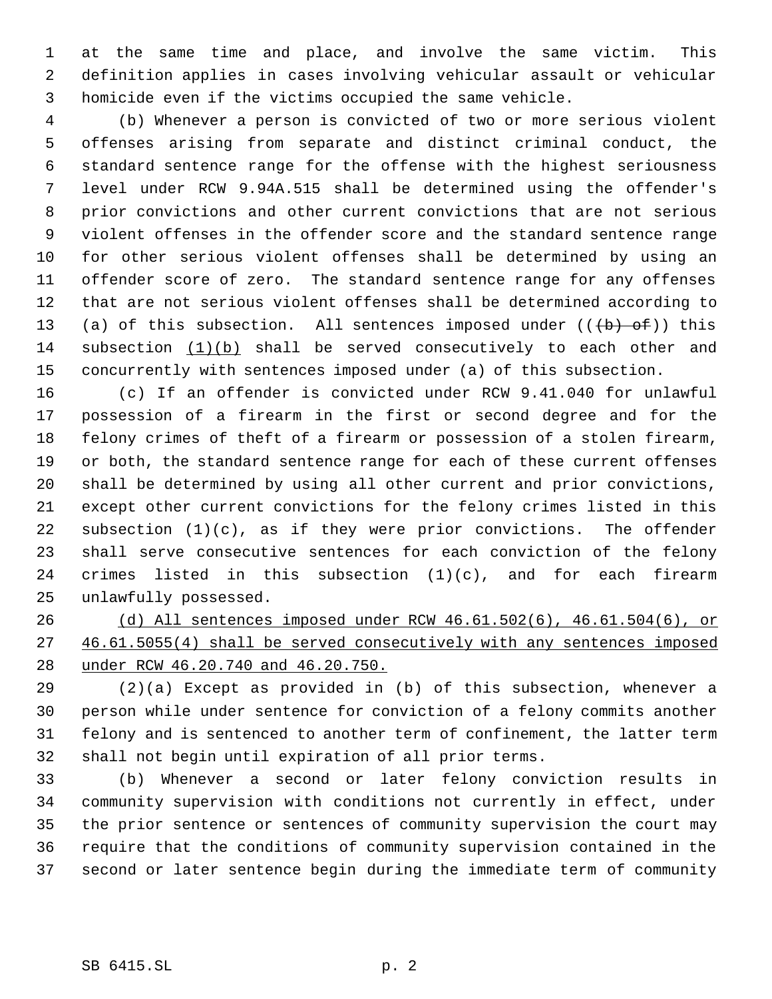at the same time and place, and involve the same victim. This definition applies in cases involving vehicular assault or vehicular homicide even if the victims occupied the same vehicle.

 (b) Whenever a person is convicted of two or more serious violent offenses arising from separate and distinct criminal conduct, the standard sentence range for the offense with the highest seriousness level under RCW 9.94A.515 shall be determined using the offender's prior convictions and other current convictions that are not serious violent offenses in the offender score and the standard sentence range for other serious violent offenses shall be determined by using an offender score of zero. The standard sentence range for any offenses that are not serious violent offenses shall be determined according to 13 (a) of this subsection. All sentences imposed under  $((+b)$  of)) this subsection (1)(b) shall be served consecutively to each other and concurrently with sentences imposed under (a) of this subsection.

 (c) If an offender is convicted under RCW 9.41.040 for unlawful possession of a firearm in the first or second degree and for the felony crimes of theft of a firearm or possession of a stolen firearm, or both, the standard sentence range for each of these current offenses shall be determined by using all other current and prior convictions, except other current convictions for the felony crimes listed in this 22 subsection  $(1)(c)$ , as if they were prior convictions. The offender shall serve consecutive sentences for each conviction of the felony 24 crimes listed in this subsection  $(1)(c)$ , and for each firearm unlawfully possessed.

 (d) All sentences imposed under RCW 46.61.502(6), 46.61.504(6), or 46.61.5055(4) shall be served consecutively with any sentences imposed under RCW 46.20.740 and 46.20.750.

 (2)(a) Except as provided in (b) of this subsection, whenever a person while under sentence for conviction of a felony commits another felony and is sentenced to another term of confinement, the latter term shall not begin until expiration of all prior terms.

 (b) Whenever a second or later felony conviction results in community supervision with conditions not currently in effect, under the prior sentence or sentences of community supervision the court may require that the conditions of community supervision contained in the second or later sentence begin during the immediate term of community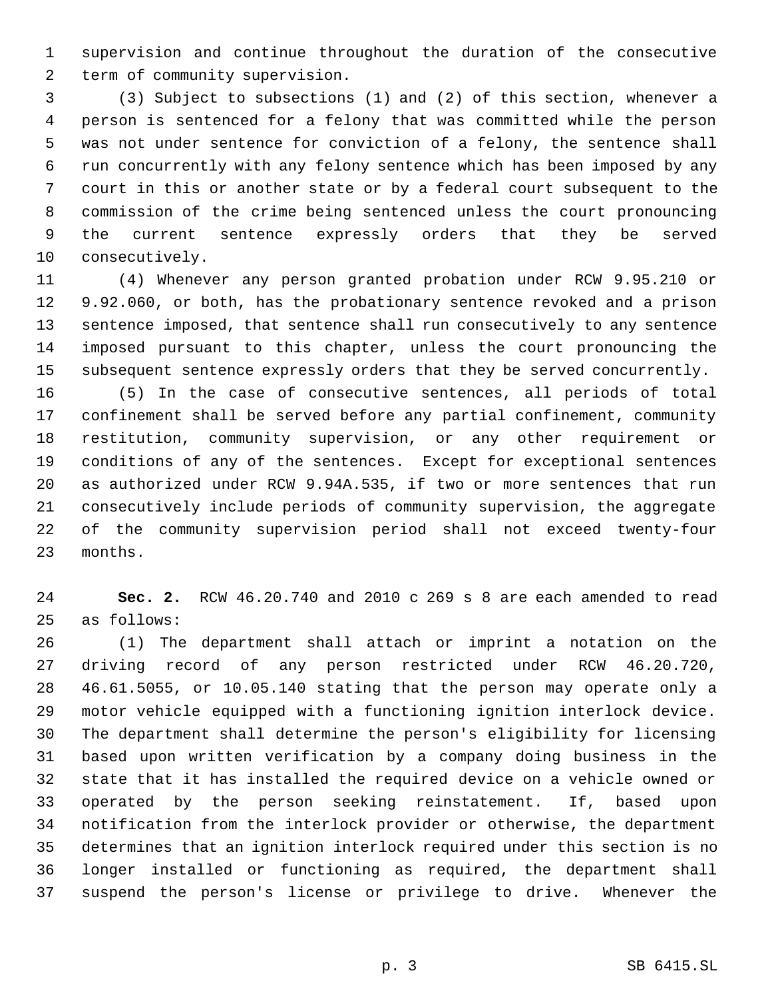supervision and continue throughout the duration of the consecutive term of community supervision.

 (3) Subject to subsections (1) and (2) of this section, whenever a person is sentenced for a felony that was committed while the person was not under sentence for conviction of a felony, the sentence shall run concurrently with any felony sentence which has been imposed by any court in this or another state or by a federal court subsequent to the commission of the crime being sentenced unless the court pronouncing the current sentence expressly orders that they be served consecutively.

 (4) Whenever any person granted probation under RCW 9.95.210 or 9.92.060, or both, has the probationary sentence revoked and a prison sentence imposed, that sentence shall run consecutively to any sentence imposed pursuant to this chapter, unless the court pronouncing the subsequent sentence expressly orders that they be served concurrently.

 (5) In the case of consecutive sentences, all periods of total confinement shall be served before any partial confinement, community restitution, community supervision, or any other requirement or conditions of any of the sentences. Except for exceptional sentences as authorized under RCW 9.94A.535, if two or more sentences that run consecutively include periods of community supervision, the aggregate of the community supervision period shall not exceed twenty-four months.

 **Sec. 2.** RCW 46.20.740 and 2010 c 269 s 8 are each amended to read as follows:

 (1) The department shall attach or imprint a notation on the driving record of any person restricted under RCW 46.20.720, 46.61.5055, or 10.05.140 stating that the person may operate only a motor vehicle equipped with a functioning ignition interlock device. The department shall determine the person's eligibility for licensing based upon written verification by a company doing business in the state that it has installed the required device on a vehicle owned or operated by the person seeking reinstatement. If, based upon notification from the interlock provider or otherwise, the department determines that an ignition interlock required under this section is no longer installed or functioning as required, the department shall suspend the person's license or privilege to drive. Whenever the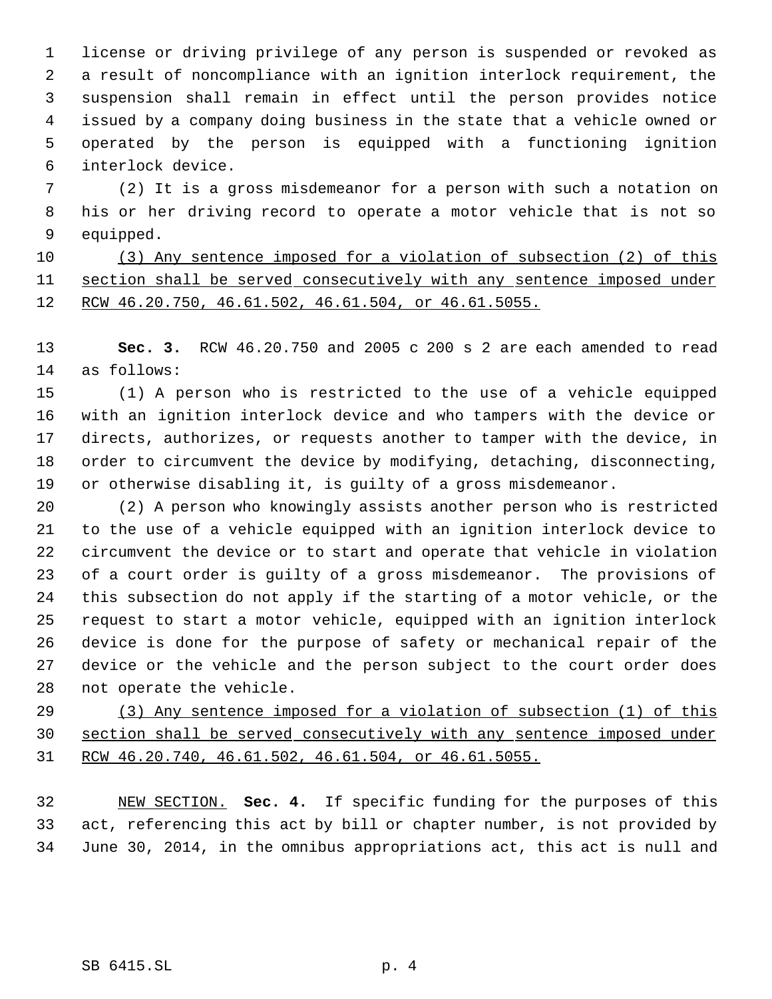license or driving privilege of any person is suspended or revoked as a result of noncompliance with an ignition interlock requirement, the suspension shall remain in effect until the person provides notice issued by a company doing business in the state that a vehicle owned or operated by the person is equipped with a functioning ignition interlock device.

 (2) It is a gross misdemeanor for a person with such a notation on his or her driving record to operate a motor vehicle that is not so equipped.

 (3) Any sentence imposed for a violation of subsection (2) of this section shall be served consecutively with any sentence imposed under RCW 46.20.750, 46.61.502, 46.61.504, or 46.61.5055.

 **Sec. 3.** RCW 46.20.750 and 2005 c 200 s 2 are each amended to read as follows:

 (1) A person who is restricted to the use of a vehicle equipped with an ignition interlock device and who tampers with the device or directs, authorizes, or requests another to tamper with the device, in order to circumvent the device by modifying, detaching, disconnecting, or otherwise disabling it, is guilty of a gross misdemeanor.

 (2) A person who knowingly assists another person who is restricted to the use of a vehicle equipped with an ignition interlock device to circumvent the device or to start and operate that vehicle in violation of a court order is guilty of a gross misdemeanor. The provisions of this subsection do not apply if the starting of a motor vehicle, or the request to start a motor vehicle, equipped with an ignition interlock device is done for the purpose of safety or mechanical repair of the device or the vehicle and the person subject to the court order does not operate the vehicle.

 (3) Any sentence imposed for a violation of subsection (1) of this section shall be served consecutively with any sentence imposed under RCW 46.20.740, 46.61.502, 46.61.504, or 46.61.5055.

 NEW SECTION. **Sec. 4.** If specific funding for the purposes of this act, referencing this act by bill or chapter number, is not provided by June 30, 2014, in the omnibus appropriations act, this act is null and